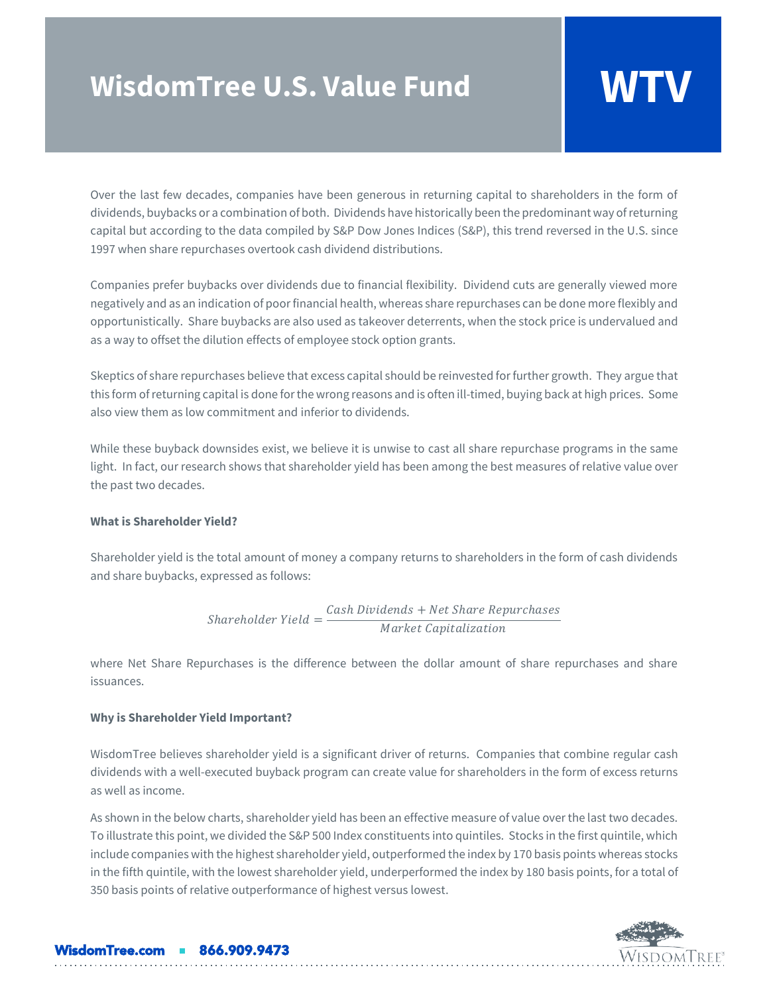# **WisdomTree U.S. Value Fund WTV**

Over the last few decades, companies have been generous in returning capital to shareholders in the form of dividends, buybacks or a combination of both. Dividends have historically been the predominant way of returning capital but according to the data compiled by S&P Dow Jones Indices (S&P), this trend reversed in the U.S. since 1997 when share repurchases overtook cash dividend distributions.

Companies prefer buybacks over dividends due to financial flexibility. Dividend cuts are generally viewed more negatively and as an indication of poor financial health, whereas share repurchases can be done more flexibly and opportunistically. Share buybacks are also used as takeover deterrents, when the stock price is undervalued and as a way to offset the dilution effects of employee stock option grants.

Skeptics of share repurchases believe that excess capital should be reinvested for further growth. They argue that this form of returning capital is done for the wrong reasons and is often ill-timed, buying back at high prices. Some also view them as low commitment and inferior to dividends.

While these buyback downsides exist, we believe it is unwise to cast all share repurchase programs in the same light. In fact, our research shows that shareholder yield has been among the best measures of relative value over the past two decades.

# **What is Shareholder Yield?**

Shareholder yield is the total amount of money a company returns to shareholders in the form of cash dividends and share buybacks, expressed as follows:

$$
Shareholder Yield = \frac{Cash Dividends + NetShare Repurchases}{Market Capitalization}
$$

where Net Share Repurchases is the difference between the dollar amount of share repurchases and share issuances.

# **Why is Shareholder Yield Important?**

WisdomTree believes shareholder yield is a significant driver of returns. Companies that combine regular cash dividends with a well-executed buyback program can create value for shareholders in the form of excess returns as well as income.

As shown in the below charts, shareholder yield has been an effective measure of value over the last two decades. To illustrate this point, we divided the S&P 500 Index constituents into quintiles. Stocks in the first quintile, which include companies with the highest shareholder yield, outperformed the index by 170 basis points whereas stocks in the fifth quintile, with the lowest shareholder yield, underperformed the index by 180 basis points, for a total of 350 basis points of relative outperformance of highest versus lowest.



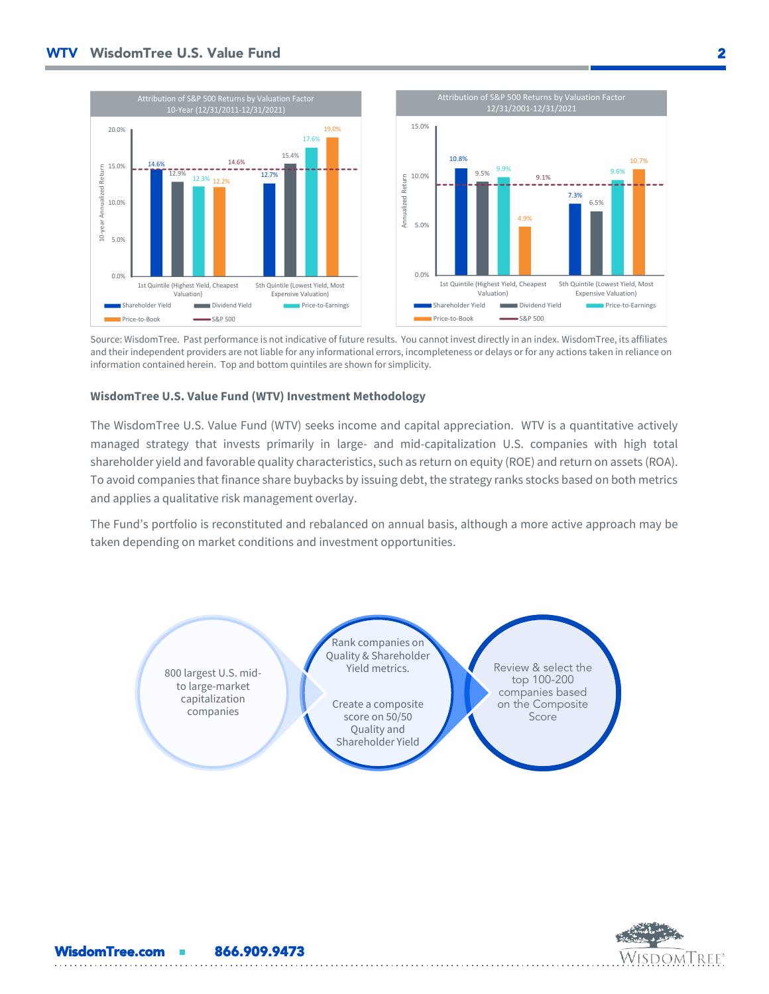

Source: WisdomTree. Past performance is not indicative of future results. You cannot invest directly in an index. WisdomTree, its affiliates and their independent providers are not liable for any informational errors, incompleteness or delays or for any actions taken in reliance on information contained herein. Top and bottom quintiles are shown for simplicity.

### **WisdomTree U.S. Value Fund (WTV) Investment Methodology**

WisdomTree.com **Resear 866.909.9473** 

The WisdomTree U.S. Value Fund (WTV) seeks income and capital appreciation. WTV is a quantitative actively managed strategy that invests primarily in large- and mid-capitalization U.S. companies with high total shareholder yield and favorable quality characteristics, such as return on equity (ROE) and return on assets (ROA). To avoid companies that finance share buybacks by issuing debt, the strategy ranks stocks based on both metrics and applies a qualitative risk management overlay.

The Fund's portfolio is reconstituted and rebalanced on annual basis, although a more active approach may be taken depending on market conditions and investment opportunities.

Review & select the top 100-200 companies based on the Composite Score Rank companies on Quality & Shareholder Yield metrics. Create a composite score on 50/50 Quality and Shareholder Yield 800 largest U.S. midto large-market capitalization companies

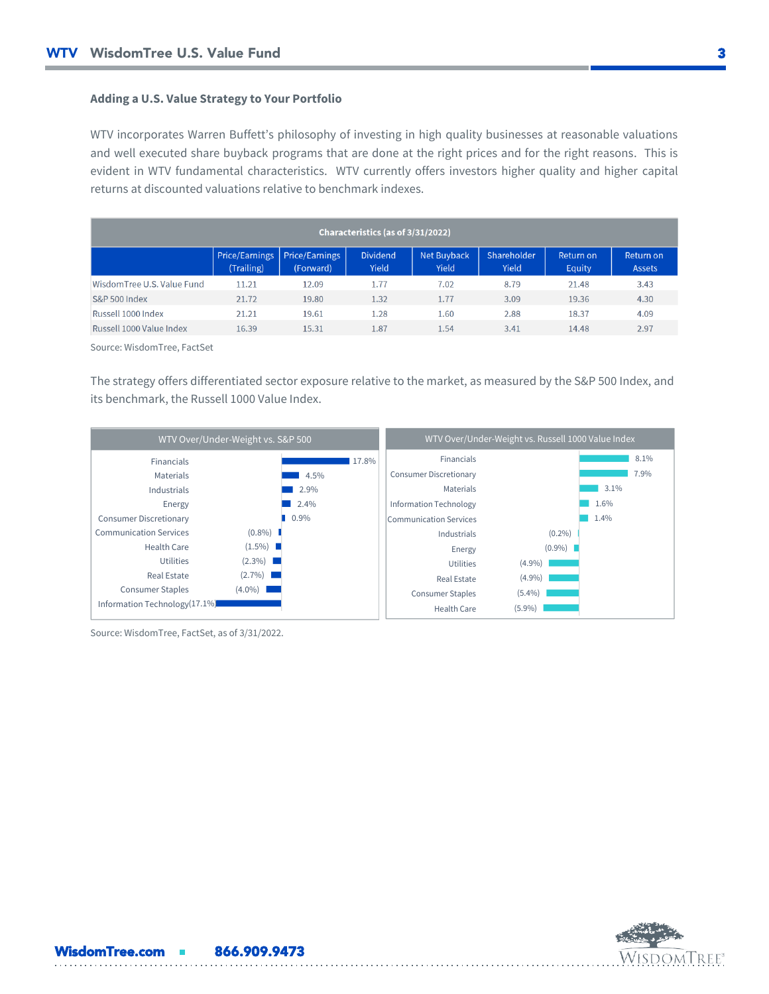# **Adding a U.S. Value Strategy to Your Portfolio**

WTV incorporates Warren Buffett's philosophy of investing in high quality businesses at reasonable valuations and well executed share buyback programs that are done at the right prices and for the right reasons. This is evident in WTV fundamental characteristics. WTV currently offers investors higher quality and higher capital returns at discounted valuations relative to benchmark indexes.

| Characteristics (as of 3/31/2022) |                                     |                                    |                          |                             |                      |                            |                                   |
|-----------------------------------|-------------------------------------|------------------------------------|--------------------------|-----------------------------|----------------------|----------------------------|-----------------------------------|
|                                   | <b>Price/Earnings</b><br>(Trailing) | <b>Price/Earnings</b><br>(Forward) | <b>Dividend</b><br>Yield | <b>Net Buyback</b><br>Yield | Shareholder<br>Yield | Return on<br><b>Equity</b> | <b>Return on</b><br><b>Assets</b> |
| Wisdom Tree U.S. Value Fund       | 11.21                               | 12.09                              | 1.77                     | 7.02                        | 8.79                 | 21.48                      | 3.43                              |
| <b>S&amp;P 500 Index</b>          | 21.72                               | 19.80                              | 1.32                     | 1.77                        | 3.09                 | 19.36                      | 4.30                              |
| Russell 1000 Index                | 21.21                               | 19.61                              | 1.28                     | 1.60                        | 2.88                 | 18.37                      | 4.09                              |
| Russell 1000 Value Index          | 16.39                               | 15.31                              | 1.87                     | 1.54                        | 3.41                 | 14.48                      | 2.97                              |

Source: WisdomTree, FactSet

The strategy offers differentiated sector exposure relative to the market, as measured by the S&P 500 Index, and its benchmark, the Russell 1000 Value Index.

| WTV Over/Under-Weight vs. S&P 500 |           |         | WTV Over/Under-Weight vs. Russell 1000 Value Index |           |      |  |  |  |
|-----------------------------------|-----------|---------|----------------------------------------------------|-----------|------|--|--|--|
| <b>Financials</b>                 |           | 17.8%   | <b>Financials</b>                                  |           | 8.1% |  |  |  |
| Materials                         |           | 4.5%    | <b>Consumer Discretionary</b>                      |           | 7.9% |  |  |  |
| Industrials                       |           | 2.9%    | Materials                                          |           | 3.1% |  |  |  |
| Energy                            |           | 2.4%    | <b>Information Technology</b>                      |           | 1.6% |  |  |  |
| <b>Consumer Discretionary</b>     |           | $0.9\%$ | Communication Services                             |           | 1.4% |  |  |  |
| <b>Communication Services</b>     | $(0.8\%)$ |         | Industrials                                        | $(0.2\%)$ |      |  |  |  |
| Health Care                       | $(1.5\%)$ |         | Energy                                             | $(0.9\%)$ |      |  |  |  |
| <b>Utilities</b>                  | $(2.3\%)$ |         | <b>Utilities</b>                                   | $(4.9\%)$ |      |  |  |  |
| <b>Real Estate</b>                | $(2.7\%)$ |         | Real Estate                                        | $(4.9\%)$ |      |  |  |  |
| <b>Consumer Staples</b>           | $(4.0\%)$ |         | <b>Consumer Staples</b>                            | $(5.4\%)$ |      |  |  |  |
| Information Technology(17.1%)     |           |         | Health Care                                        | $(5.9\%)$ |      |  |  |  |

Source: WisdomTree, FactSet, as of 3/31/2022.

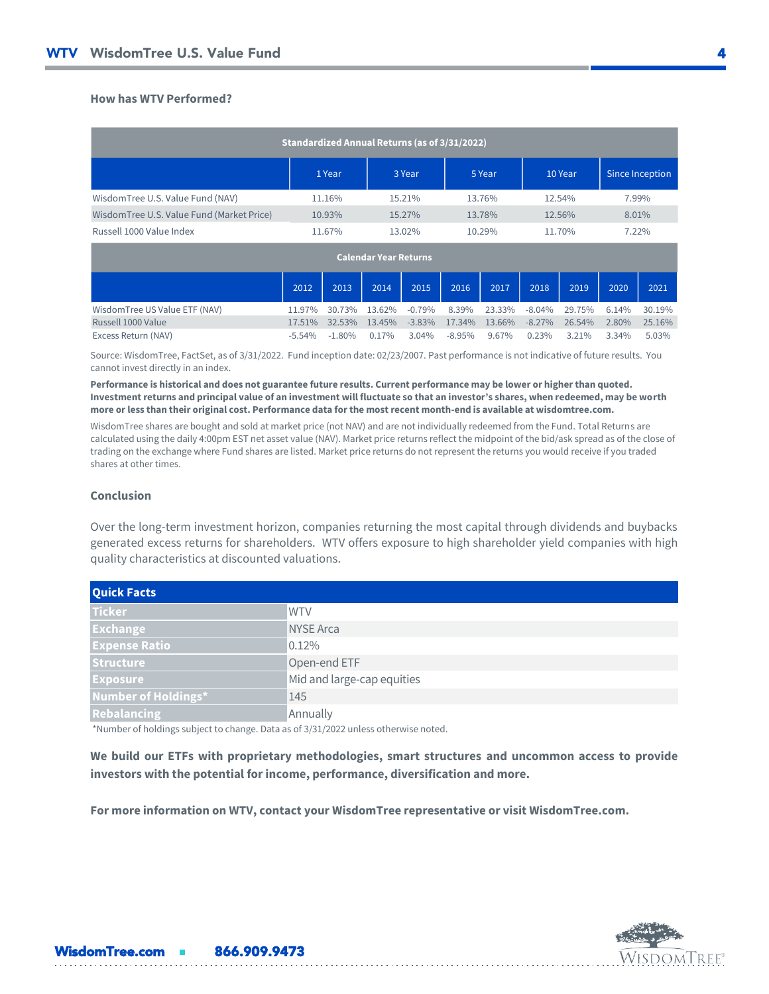# **How has WTV Performed?**

| Standardized Annual Returns (as of 3/31/2022) |        |        |        |         |                 |  |  |
|-----------------------------------------------|--------|--------|--------|---------|-----------------|--|--|
|                                               | 1 Year | 3 Year | 5 Year | 10 Year | Since Inception |  |  |
| WisdomTree U.S. Value Fund (NAV)              | 11.16% | 15.21% | 13.76% | 12.54%  | 7.99%           |  |  |
| WisdomTree U.S. Value Fund (Market Price)     | 10.93% | 15.27% | 13.78% | 12.56%  | 8.01%           |  |  |
| Russell 1000 Value Index                      | 11.67% | 13.02% | 10.29% | 11.70%  | 7.22%           |  |  |

| <b>Calendar Year Returns</b>   |           |          |          |           |          |        |           |           |       |        |
|--------------------------------|-----------|----------|----------|-----------|----------|--------|-----------|-----------|-------|--------|
|                                | 2012      | 2013     | 2014     | 2015      | 2016     | 2017   | 2018      | 2019      | 2020  | 2021   |
| Wisdom Tree US Value ETF (NAV) | 11.97%    | 30.73%   | 13.62%   | $-0.79\%$ | 8.39%    | 23.33% | $-8.04%$  | 29.75%    | 6.14% | 30.19% |
| Russell 1000 Value             | 17.51%    | 32.53%   | 13.45%   | $-3.83\%$ | 17.34%   | 13.66% | $-8.27\%$ | $26.54\%$ | 2.80% | 25.16% |
| Excess Return (NAV)            | $-5.54\%$ | $-1.80%$ | $0.17\%$ | 3.04%     | $-8.95%$ | 9.67%  | 0.23%     | 3.21%     | 3.34% | 5.03%  |

Source: WisdomTree, FactSet, as of 3/31/2022. Fund inception date: 02/23/2007. Past performance is not indicative of future results. You cannot invest directly in an index.

**Performance is historical and does not guarantee future results. Current performance may be lower or higher than quoted. Investment returns and principal value of an investment will fluctuate so that an investor's shares, when redeemed, may be worth more or less than their original cost. Performance data for the most recent month-end is available at wisdomtree.com.**

WisdomTree shares are bought and sold at market price (not NAV) and are not individually redeemed from the Fund. Total Returns are calculated using the daily 4:00pm EST net asset value (NAV). Market price returns reflect the midpoint of the bid/ask spread as of the close of trading on the exchange where Fund shares are listed. Market price returns do not represent the returns you would receive if you traded shares at other times.

### **Conclusion**

Over the long-term investment horizon, companies returning the most capital through dividends and buybacks generated excess returns for shareholders. WTV offers exposure to high shareholder yield companies with high quality characteristics at discounted valuations.

| <b>Quick Facts</b>   |                            |
|----------------------|----------------------------|
| <b>Ticker</b>        | <b>WTV</b>                 |
| <b>Exchange</b>      | <b>NYSE Arca</b>           |
| <b>Expense Ratio</b> | 0.12%                      |
| <b>Structure</b>     | Open-end ETF               |
| <b>Exposure</b>      | Mid and large-cap equities |
| Number of Holdings*  | 145                        |
| <b>Rebalancing</b>   | Annually                   |

\*Number of holdings subject to change. Data as of 3/31/2022 unless otherwise noted.

WisdomTree.com **866.909.9473** 

**We build our ETFs with proprietary methodologies, smart structures and uncommon access to provide investors with the potential for income, performance, diversification and more.**

**For more information on WTV, contact your WisdomTree representative or visit WisdomTree.com.**